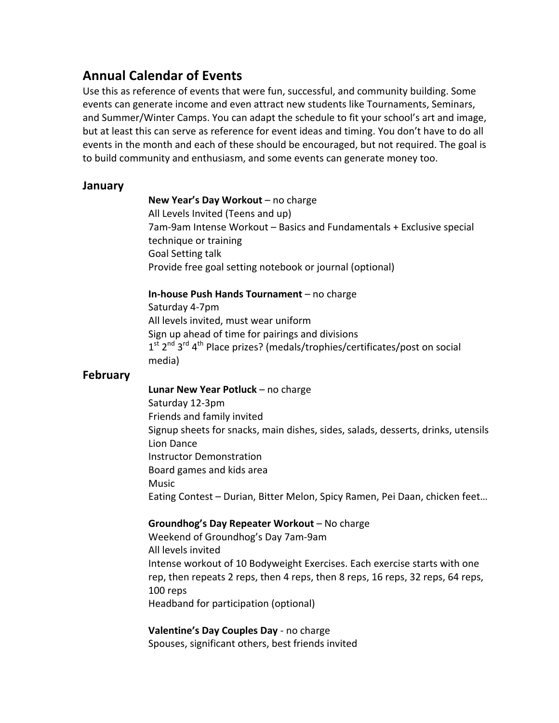# **Annual Calendar of Events**

Use this as reference of events that were fun, successful, and community building. Some events can generate income and even attract new students like Tournaments, Seminars, and Summer/Winter Camps. You can adapt the schedule to fit your school's art and image, but at least this can serve as reference for event ideas and timing. You don't have to do all events in the month and each of these should be encouraged, but not required. The goal is to build community and enthusiasm, and some events can generate money too.

# **January**

**New Year's Day Workout** – no charge All Levels Invited (Teens and up) 7am-9am Intense Workout – Basics and Fundamentals + Exclusive special technique or training Goal Setting talk Provide free goal setting notebook or journal (optional)

# **In-house Push Hands Tournament** – no charge

Saturday 4-7pm All levels invited, must wear uniform Sign up ahead of time for pairings and divisions  $1^{st}$   $2^{nd}$   $3^{rd}$   $4^{th}$  Place prizes? (medals/trophies/certificates/post on social media)

# **February**

**Lunar New Year Potluck** – no charge Saturday 12-3pm Friends and family invited Signup sheets for snacks, main dishes, sides, salads, desserts, drinks, utensils Lion Dance Instructor Demonstration Board games and kids area Music Eating Contest - Durian, Bitter Melon, Spicy Ramen, Pei Daan, chicken feet...

# **Groundhog's Day Repeater Workout** – No charge

Weekend of Groundhog's Day 7am-9am All levels invited Intense workout of 10 Bodyweight Exercises. Each exercise starts with one rep, then repeats 2 reps, then 4 reps, then 8 reps, 16 reps, 32 reps, 64 reps, 100 reps Headband for participation (optional)

# **Valentine's Day Couples Day** - no charge Spouses, significant others, best friends invited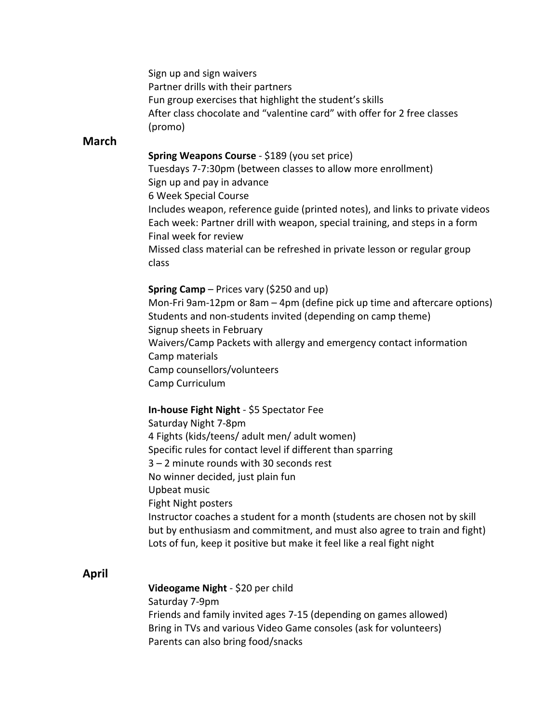Sign up and sign waivers Partner drills with their partners Fun group exercises that highlight the student's skills After class chocolate and "valentine card" with offer for 2 free classes (promo)

# **March**

# **Spring Weapons Course** - \$189 (you set price)

Tuesdays 7-7:30pm (between classes to allow more enrollment) Sign up and pay in advance 6 Week Special Course Includes weapon, reference guide (printed notes), and links to private videos Each week: Partner drill with weapon, special training, and steps in a form Final week for review Missed class material can be refreshed in private lesson or regular group class

#### **Spring Camp** – Prices vary (\$250 and up)

Mon-Fri  $9$ am-12pm or  $8$ am  $-$  4pm (define pick up time and aftercare options) Students and non-students invited (depending on camp theme) Signup sheets in February Waivers/Camp Packets with allergy and emergency contact information Camp materials Camp counsellors/volunteers Camp Curriculum

#### **In-house Fight Night** - \$5 Spectator Fee

Saturday Night 7-8pm 4 Fights (kids/teens/ adult men/ adult women) Specific rules for contact level if different than sparring  $3 - 2$  minute rounds with 30 seconds rest No winner decided, just plain fun Upbeat music Fight Night posters Instructor coaches a student for a month (students are chosen not by skill but by enthusiasm and commitment, and must also agree to train and fight) Lots of fun, keep it positive but make it feel like a real fight night

# **April**

#### **Videogame Night** - \$20 per child

Saturday 7-9pm Friends and family invited ages 7-15 (depending on games allowed) Bring in TVs and various Video Game consoles (ask for volunteers) Parents can also bring food/snacks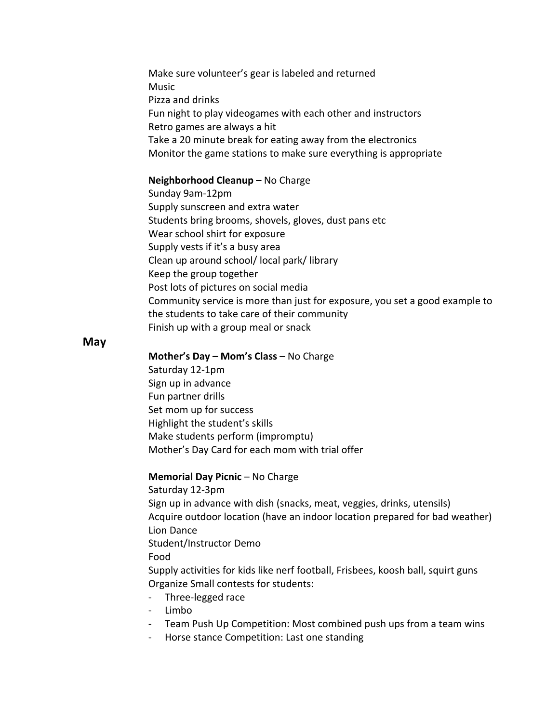Make sure volunteer's gear is labeled and returned Music Pizza and drinks Fun night to play videogames with each other and instructors Retro games are always a hit Take a 20 minute break for eating away from the electronics Monitor the game stations to make sure everything is appropriate

### **Neighborhood Cleanup** – No Charge

Sunday 9am-12pm Supply sunscreen and extra water Students bring brooms, shovels, gloves, dust pans etc Wear school shirt for exposure Supply vests if it's a busy area Clean up around school/ local park/ library Keep the group together Post lots of pictures on social media Community service is more than just for exposure, you set a good example to the students to take care of their community Finish up with a group meal or snack

## **May**

**Mother's Day – Mom's Class** – No Charge

Saturday 12-1pm Sign up in advance Fun partner drills Set mom up for success Highlight the student's skills Make students perform (impromptu) Mother's Day Card for each mom with trial offer

#### **Memorial Day Picnic** – No Charge

Saturday 12-3pm Sign up in advance with dish (snacks, meat, veggies, drinks, utensils) Acquire outdoor location (have an indoor location prepared for bad weather) Lion Dance Student/Instructor Demo Food Supply activities for kids like nerf football, Frisbees, koosh ball, squirt guns Organize Small contests for students:

- Three-legged race
- Limbo
- Team Push Up Competition: Most combined push ups from a team wins
- Horse stance Competition: Last one standing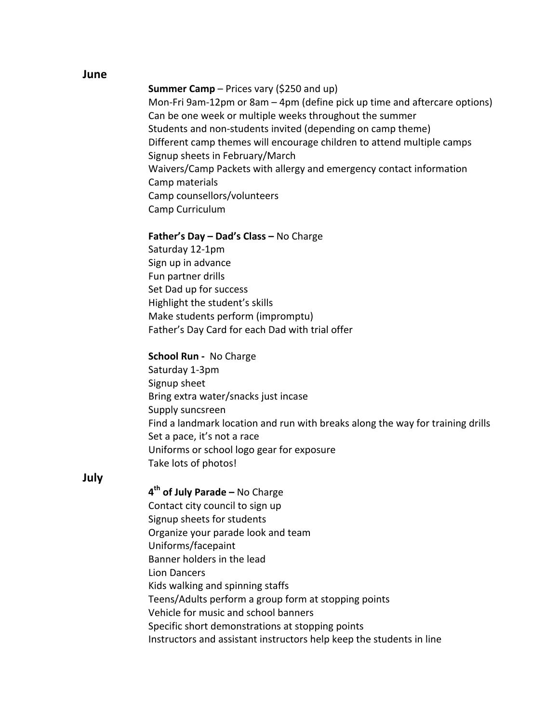#### **June**

# **Summer Camp** – Prices vary (\$250 and up)

Mon-Fri  $9$ am-12pm or  $8$ am –  $4$ pm (define pick up time and aftercare options) Can be one week or multiple weeks throughout the summer Students and non-students invited (depending on camp theme) Different camp themes will encourage children to attend multiple camps Signup sheets in February/March Waivers/Camp Packets with allergy and emergency contact information Camp materials Camp counsellors/volunteers Camp Curriculum

#### **Father's Day – Dad's Class –** No Charge

Saturday 12-1pm Sign up in advance Fun partner drills Set Dad up for success Highlight the student's skills Make students perform (impromptu) Father's Day Card for each Dad with trial offer

## **School Run - No Charge**

Saturday 1-3pm Signup sheet Bring extra water/snacks just incase Supply suncsreen Find a landmark location and run with breaks along the way for training drills Set a pace, it's not a race Uniforms or school logo gear for exposure Take lots of photos!

## **July**

**4th of July Parade –** No Charge Contact city council to sign up Signup sheets for students Organize your parade look and team Uniforms/facepaint Banner holders in the lead Lion Dancers Kids walking and spinning staffs Teens/Adults perform a group form at stopping points Vehicle for music and school banners Specific short demonstrations at stopping points Instructors and assistant instructors help keep the students in line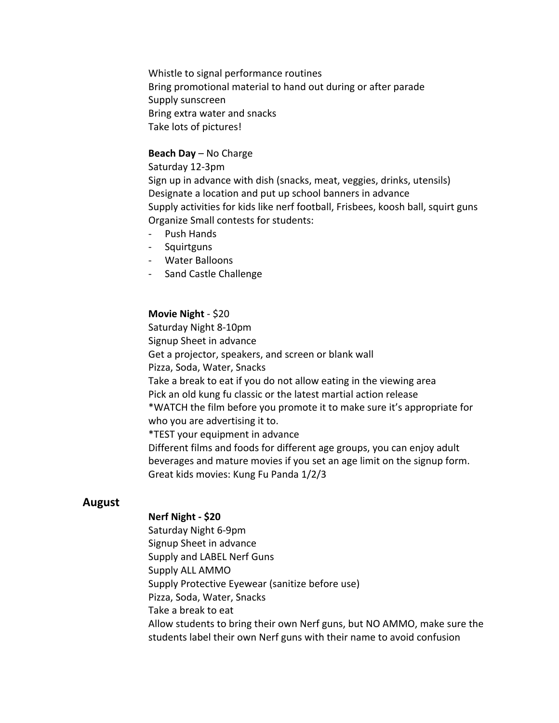Whistle to signal performance routines Bring promotional material to hand out during or after parade Supply sunscreen Bring extra water and snacks Take lots of pictures!

## **Beach Day** – No Charge

Saturday 12-3pm Sign up in advance with dish (snacks, meat, veggies, drinks, utensils) Designate a location and put up school banners in advance Supply activities for kids like nerf football, Frisbees, koosh ball, squirt guns Organize Small contests for students:

- Push Hands
- Squirtguns
- Water Balloons
- Sand Castle Challenge

#### **Movie Night** - \$20

Saturday Night 8-10pm Signup Sheet in advance Get a projector, speakers, and screen or blank wall Pizza, Soda, Water, Snacks Take a break to eat if you do not allow eating in the viewing area Pick an old kung fu classic or the latest martial action release \*WATCH the film before you promote it to make sure it's appropriate for who you are advertising it to. \*TEST your equipment in advance Different films and foods for different age groups, you can enjoy adult beverages and mature movies if you set an age limit on the signup form. Great kids movies: Kung Fu Panda 1/2/3

## **August**

#### **Nerf Night - \$20**

Saturday Night 6-9pm Signup Sheet in advance Supply and LABEL Nerf Guns Supply ALL AMMO Supply Protective Eyewear (sanitize before use) Pizza, Soda, Water, Snacks Take a break to eat Allow students to bring their own Nerf guns, but NO AMMO, make sure the students label their own Nerf guns with their name to avoid confusion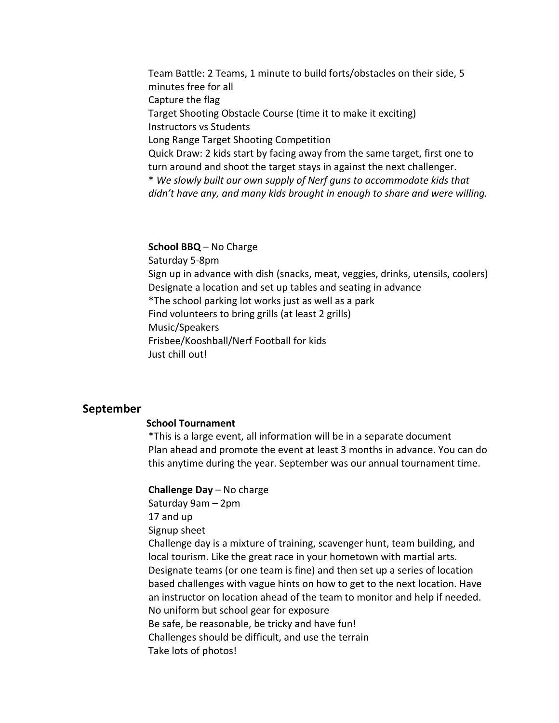Team Battle: 2 Teams, 1 minute to build forts/obstacles on their side, 5 minutes free for all Capture the flag Target Shooting Obstacle Course (time it to make it exciting) Instructors vs Students Long Range Target Shooting Competition Quick Draw: 2 kids start by facing away from the same target, first one to turn around and shoot the target stays in against the next challenger. \* *We slowly built our own supply of Nerf guns to accommodate kids that didn't have any, and many kids brought in enough to share and were willing.* 

## **School BBQ** – No Charge

Saturday 5-8pm Sign up in advance with dish (snacks, meat, veggies, drinks, utensils, coolers) Designate a location and set up tables and seating in advance \*The school parking lot works just as well as a park Find volunteers to bring grills (at least 2 grills) Music/Speakers Frisbee/Kooshball/Nerf Football for kids Just chill out!

## **September**

#### **School Tournament**

\*This is a large event, all information will be in a separate document Plan ahead and promote the event at least 3 months in advance. You can do this anytime during the year. September was our annual tournament time.

#### **Challenge Day** – No charge

Saturday 9am – 2pm 17 and up Signup sheet Challenge day is a mixture of training, scavenger hunt, team building, and local tourism. Like the great race in your hometown with martial arts. Designate teams (or one team is fine) and then set up a series of location based challenges with vague hints on how to get to the next location. Have an instructor on location ahead of the team to monitor and help if needed. No uniform but school gear for exposure Be safe, be reasonable, be tricky and have fun! Challenges should be difficult, and use the terrain Take lots of photos!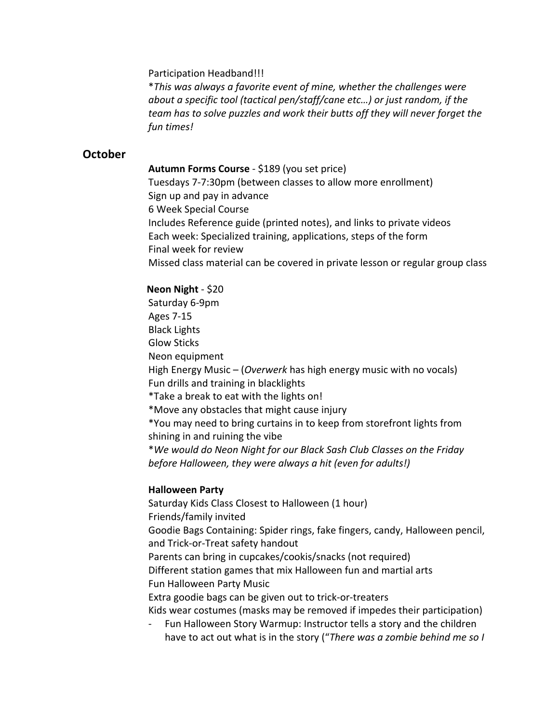Participation Headband!!!

\**This was always a favorite event of mine, whether the challenges were about a specific tool (tactical pen/staff/cane etc...)* or just random, if the *team has to solve puzzles and work their butts off they will never forget the fun times!*

# **October**

**Autumn Forms Course** - \$189 (you set price) Tuesdays 7-7:30pm (between classes to allow more enrollment) Sign up and pay in advance 6 Week Special Course Includes Reference guide (printed notes), and links to private videos Each week: Specialized training, applications, steps of the form Final week for review Missed class material can be covered in private lesson or regular group class

# **Neon Night - \$20**

Saturday 6-9pm Ages 7-15 Black Lights Glow Sticks Neon equipment High Energy Music – (*Overwerk* has high energy music with no vocals) Fun drills and training in blacklights \*Take a break to eat with the lights on! \*Move any obstacles that might cause injury \*You may need to bring curtains in to keep from storefront lights from shining in and ruining the vibe \**We would do Neon Night for our Black Sash Club Classes on the Friday before Halloween, they were always a hit (even for adults!)* 

## **Halloween Party**

Saturday Kids Class Closest to Halloween (1 hour) Friends/family invited Goodie Bags Containing: Spider rings, fake fingers, candy, Halloween pencil, and Trick-or-Treat safety handout Parents can bring in cupcakes/cookis/snacks (not required) Different station games that mix Halloween fun and martial arts Fun Halloween Party Music Extra goodie bags can be given out to trick-or-treaters Kids wear costumes (masks may be removed if impedes their participation) Fun Halloween Story Warmup: Instructor tells a story and the children

have to act out what is in the story ("There was a zombie behind me so I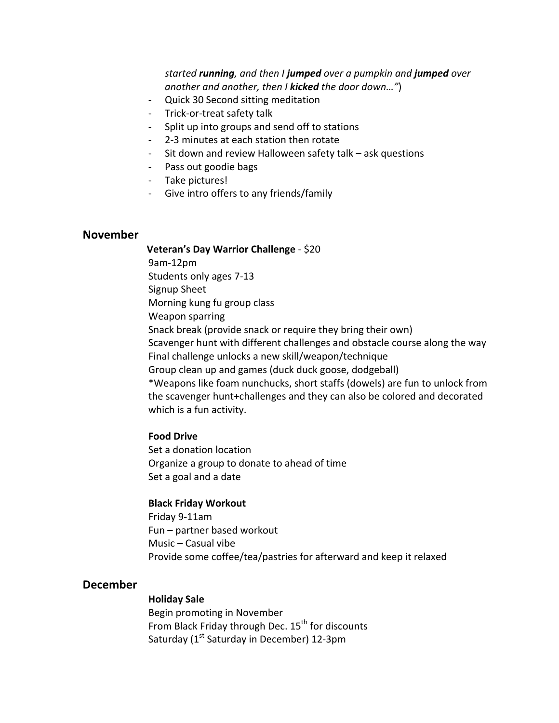*started running, and then I jumped over a pumpkin and jumped over another and another, then I kicked the door down...")* 

- Quick 30 Second sitting meditation
- Trick-or-treat safety talk
- Split up into groups and send off to stations
- 2-3 minutes at each station then rotate
- Sit down and review Halloween safety talk  $-$  ask questions
- Pass out goodie bags
- Take pictures!
- Give intro offers to any friends/family

## **November**

**Veteran's Day Warrior Challenge - \$20** 

9am-12pm Students only ages 7-13 Signup Sheet Morning kung fu group class Weapon sparring Snack break (provide snack or require they bring their own) Scavenger hunt with different challenges and obstacle course along the way Final challenge unlocks a new skill/weapon/technique Group clean up and games (duck duck goose, dodgeball) \*Weapons like foam nunchucks, short staffs (dowels) are fun to unlock from the scavenger hunt+challenges and they can also be colored and decorated which is a fun activity.

#### **Food Drive**

Set a donation location Organize a group to donate to ahead of time Set a goal and a date

#### **Black Friday Workout**

Friday 9-11am Fun – partner based workout Music  $-$  Casual vibe Provide some coffee/tea/pastries for afterward and keep it relaxed

## **December**

# **Holiday Sale**

Begin promoting in November From Black Friday through Dec.  $15^{th}$  for discounts Saturday ( $1<sup>st</sup>$  Saturday in December) 12-3pm